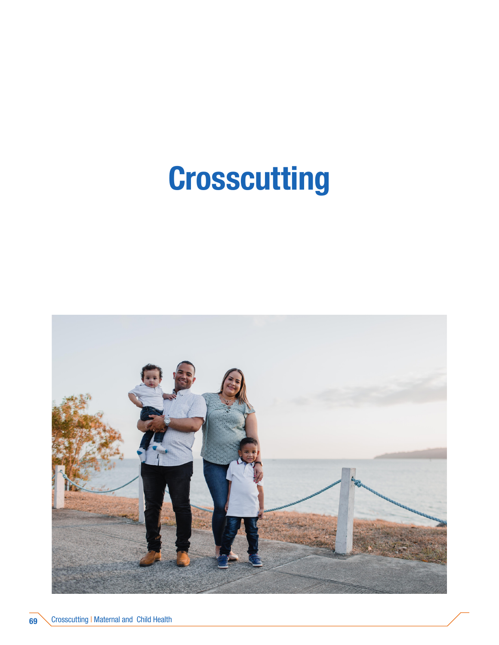# Crosscutting

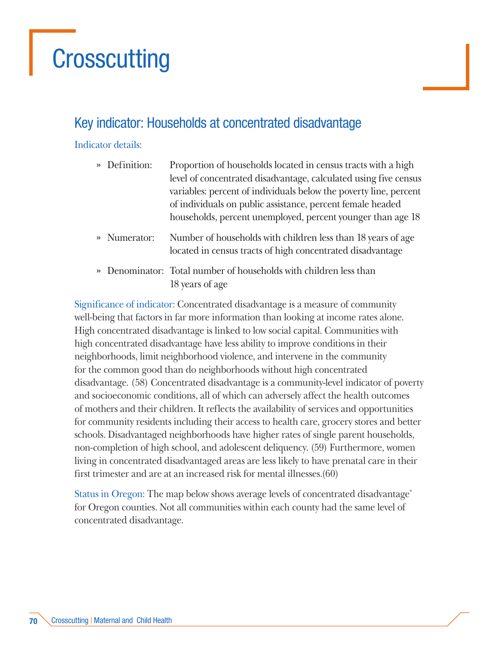## **Crosscutting**

## Key indicator: Households at concentrated disadvantage

#### Indicator details:

| » Definition: | Proportion of households located in census tracts with a high                                                              |  |
|---------------|----------------------------------------------------------------------------------------------------------------------------|--|
|               | level of concentrated disadvantage, calculated using five census                                                           |  |
|               | variables: percent of individuals below the poverty line, percent                                                          |  |
|               | of individuals on public assistance, percent female headed                                                                 |  |
|               | households, percent unemployed, percent younger than age 18                                                                |  |
| » Numerator:  | Number of households with children less than 18 years of age<br>located in census tracts of high concentrated disadvantage |  |
|               | » Denominator: Total number of households with children less than                                                          |  |
|               | 18 years of age                                                                                                            |  |

Significance of indicator: Concentrated disadvantage is a measure of community well-being that factors in far more information than looking at income rates alone. High concentrated disadvantage is linked to low social capital. Communities with high concentrated disadvantage have less ability to improve conditions in their neighborhoods, limit neighborhood violence, and intervene in the community for the common good than do neighborhoods without high concentrated disadvantage. (58) Concentrated disadvantage is a community-level indicator of poverty and socioeconomic conditions, all of which can adversely affect the health outcomes of mothers and their children. It reflects the availability of services and opportunities for community residents including their access to health care, grocery stores and better schools. Disadvantaged neighborhoods have higher rates of single parent households, non-completion of high school, and adolescent deliquency. (59) Furthermore, women living in concentrated disadvantaged areas are less likely to have prenatal care in their first trimester and are at an increased risk for mental illnesses.(60)

Status in Oregon: The map below shows average levels of concentrated disadvantage\* for Oregon counties. Not all communities within each county had the same level of concentrated disadvantage.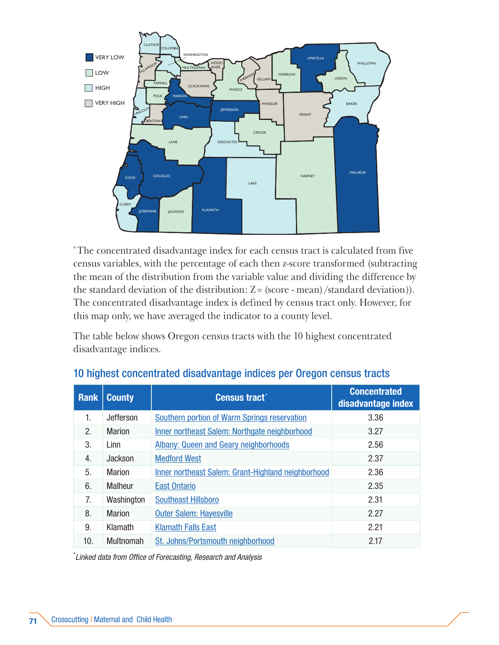

\* The concentrated disadvantage index for each census tract is calculated from five census variables, with the percentage of each then z-score transformed (subtracting the mean of the distribution from the variable value and dividing the difference by the standard deviation of the distribution:  $Z = (score - mean)/standard deviation)$ . The concentrated disadvantage index is defined by census tract only. However, for this map only, we have averaged the indicator to a county level.

The table below shows Oregon census tracts with the 10 highest concentrated disadvantage indices.

| <b>Rank</b> | <b>County</b>    | <b>Census tract<sup>*</sup></b>                    | <b>Concentrated</b><br>disadvantage index |
|-------------|------------------|----------------------------------------------------|-------------------------------------------|
| 1.          | Jefferson        | Southern portion of Warm Springs reservation       | 3.36                                      |
| 2.          | Marion           | Inner northeast Salem: Northgate neighborhood      | 3.27                                      |
| 3.          | Linn             | <b>Albany: Queen and Geary neighborhoods</b>       | 2.56                                      |
| 4.          | Jackson          | <b>Medford West</b>                                | 2.37                                      |
| 5.          | Marion           | Inner northeast Salem: Grant-Highland neighborhood | 2.36                                      |
| 6.          | <b>Malheur</b>   | <b>East Ontario</b>                                | 2.35                                      |
| 7.          | Washington       | <b>Southeast Hillsboro</b>                         | 2.31                                      |
| 8.          | Marion           | <b>Outer Salem: Hayesville</b>                     | 2.27                                      |
| 9.          | Klamath          | <b>Klamath Falls East</b>                          | 2.21                                      |
| 10.         | <b>Multnomah</b> | St. Johns/Portsmouth neighborhood                  | 2.17                                      |

#### 10 highest concentrated disadvantage indices per Oregon census tracts

\* *Linked data from Office of Forecasting, Research and Analysis*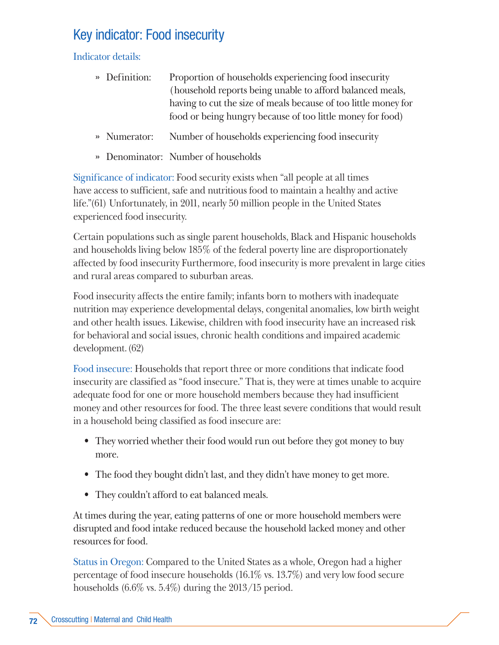## Key indicator: Food insecurity

Indicator details:

- » Definition: Proportion of households experiencing food insecurity (household reports being unable to afford balanced meals, having to cut the size of meals because of too little money for food or being hungry because of too little money for food)
- » Numerator: Number of households experiencing food insecurity
- » Denominator: Number of households

Significance of indicator: Food security exists when "all people at all times have access to sufficient, safe and nutritious food to maintain a healthy and active life."(61) Unfortunately, in 2011, nearly 50 million people in the United States experienced food insecurity.

Certain populations such as single parent households, Black and Hispanic households and households living below 185% of the federal poverty line are disproportionately affected by food insecurity Furthermore, food insecurity is more prevalent in large cities and rural areas compared to suburban areas.

Food insecurity affects the entire family; infants born to mothers with inadequate nutrition may experience developmental delays, congenital anomalies, low birth weight and other health issues. Likewise, children with food insecurity have an increased risk for behavioral and social issues, chronic health conditions and impaired academic development. (62)

Food insecure: Households that report three or more conditions that indicate food insecurity are classified as "food insecure." That is, they were at times unable to acquire adequate food for one or more household members because they had insufficient money and other resources for food. The three least severe conditions that would result in a household being classified as food insecure are:

- They worried whether their food would run out before they got money to buy more.
- The food they bought didn't last, and they didn't have money to get more.
- They couldn't afford to eat balanced meals.

At times during the year, eating patterns of one or more household members were disrupted and food intake reduced because the household lacked money and other resources for food.

Status in Oregon: Compared to the United States as a whole, Oregon had a higher percentage of food insecure households (16.1% vs. 13.7%) and very low food secure households (6.6% vs. 5.4%) during the 2013/15 period.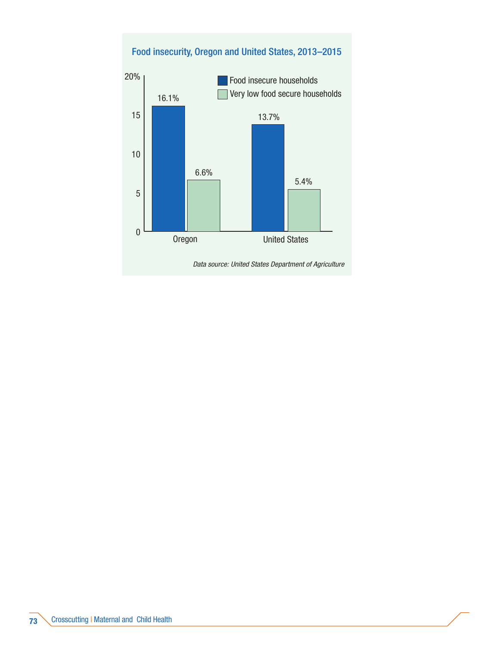## $\overline{0}$ 5 10 15 20% Oregon United States Food insecure households 16.1% Very low food secure households 6.6% 5.4% 13.7% Food insecurity, Oregon and United States, 2013–2015 *Data source: United States Department of Agriculture*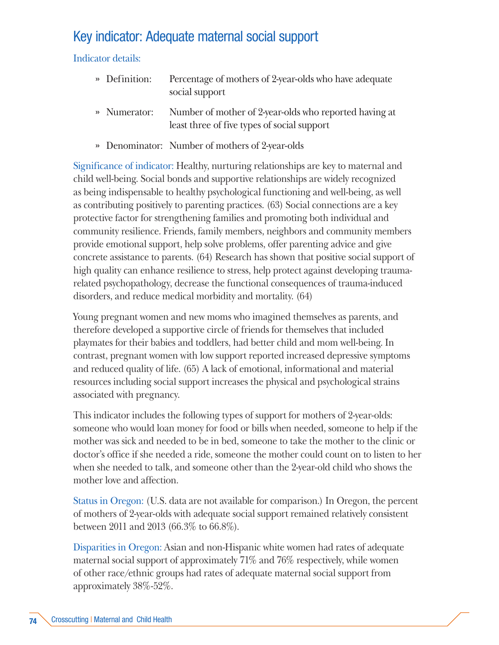## Key indicator: Adequate maternal social support

Indicator details:

- » Definition: Percentage of mothers of 2-year-olds who have adequate social support
- » Numerator: Number of mother of 2-year-olds who reported having at least three of five types of social support
- » Denominator: Number of mothers of 2-year-olds

Significance of indicator: Healthy, nurturing relationships are key to maternal and child well-being. Social bonds and supportive relationships are widely recognized as being indispensable to healthy psychological functioning and well-being, as well as contributing positively to parenting practices. (63) Social connections are a key protective factor for strengthening families and promoting both individual and community resilience. Friends, family members, neighbors and community members provide emotional support, help solve problems, offer parenting advice and give concrete assistance to parents. (64) Research has shown that positive social support of high quality can enhance resilience to stress, help protect against developing traumarelated psychopathology, decrease the functional consequences of trauma-induced disorders, and reduce medical morbidity and mortality. (64)

Young pregnant women and new moms who imagined themselves as parents, and therefore developed a supportive circle of friends for themselves that included playmates for their babies and toddlers, had better child and mom well-being. In contrast, pregnant women with low support reported increased depressive symptoms and reduced quality of life. (65) A lack of emotional, informational and material resources including social support increases the physical and psychological strains associated with pregnancy.

This indicator includes the following types of support for mothers of 2-year-olds: someone who would loan money for food or bills when needed, someone to help if the mother was sick and needed to be in bed, someone to take the mother to the clinic or doctor's office if she needed a ride, someone the mother could count on to listen to her when she needed to talk, and someone other than the 2-year-old child who shows the mother love and affection.

Status in Oregon: (U.S. data are not available for comparison.) In Oregon, the percent of mothers of 2-year-olds with adequate social support remained relatively consistent between 2011 and 2013 (66.3% to 66.8%).

Disparities in Oregon: Asian and non-Hispanic white women had rates of adequate maternal social support of approximately 71% and 76% respectively, while women of other race/ethnic groups had rates of adequate maternal social support from approximately 38%-52%.